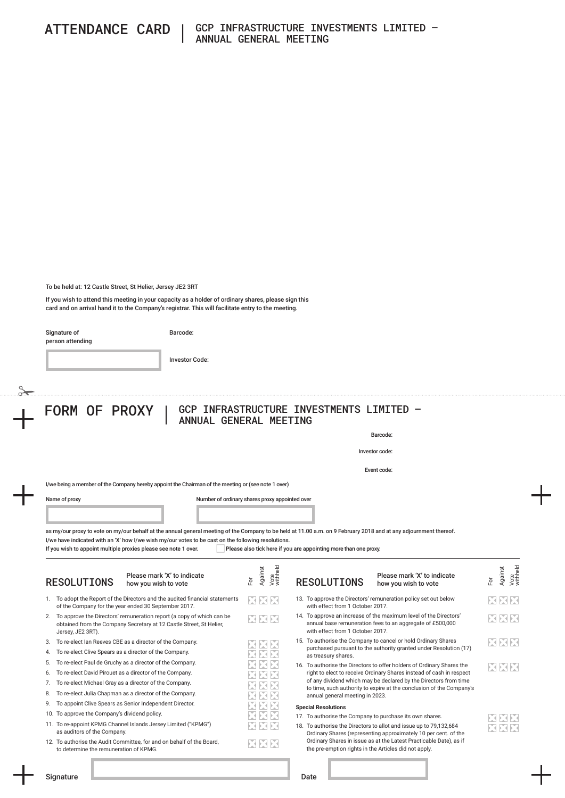To be held at: 12 Castle Street, St Helier, Jersey JE2 3RT

If you wish to attend this meeting in your capacity as a holder of ordinary shares, please sign this card and on arrival hand it to the Company's registrar. This will facilitate entry to the meeting.

Signature of

Barcode:

Investor Code:

person attending

## FORM OF PROXY | GCP INFRASTRUCTURE INVESTMENTS LIMITED -ANNUAL GENERAL MEETING

Barcode:

Investor code:

Event code:

Vote withheld

 $\overline{\mathbf{M}}$ M

K

K

X

I/we being a member of the Company hereby appoint the Chairman of the meeting or (see note 1 over)

Name of proxy **Number of ordinary shares proxy appointed over** 

as my/our proxy to vote on my/our behalf at the annual general meeting of the Company to be held at 11.00 a.m. on 9 February 2018 and at any adjournment thereof. I/we have indicated with an 'X' how I/we wish my/our votes to be cast on the following resolutions.

If you wish to appoint multiple proxies please see note 1 over. Please also tick here if you are appointing more than one proxy.

| Please mark 'X' to indicate<br><b>RESOLUTIONS</b><br>how you wish to vote                                                                                               | Vote<br>withheld<br>Against<br>$\overline{5}$                            | Please mark 'X' to indicate<br><b>RESOLUTIONS</b><br>how you wish to vote                                                                                          | Against<br>For |
|-------------------------------------------------------------------------------------------------------------------------------------------------------------------------|--------------------------------------------------------------------------|--------------------------------------------------------------------------------------------------------------------------------------------------------------------|----------------|
| To adopt the Report of the Directors and the audited financial statements<br>1.<br>of the Company for the year ended 30 September 2017.                                 | XXX                                                                      | 13. To approve the Directors' remuneration policy set out below<br>with effect from 1 October 2017.                                                                | XX             |
| To approve the Directors' remuneration report (a copy of which can be<br>2.<br>obtained from the Company Secretary at 12 Castle Street, St Helier,<br>Jersey, JE2 3RT). | XXX                                                                      | 14. To approve an increase of the maximum level of the Directors'<br>annual base remuneration fees to an aggregate of £500,000<br>with effect from 1 October 2017. | XX             |
| To re-elect Ian Reeves CBE as a director of the Company.<br>3.                                                                                                          | ENENE                                                                    | 15. To authorise the Company to cancel or hold Ordinary Shares                                                                                                     | XX             |
| To re-elect Clive Spears as a director of the Company.<br>4.                                                                                                            | XXX                                                                      | purchased pursuant to the authority granted under Resolution (17)<br>as treasury shares.                                                                           |                |
| To re-elect Paul de Gruchy as a director of the Company.<br>5.                                                                                                          |                                                                          | 16. To authorise the Directors to offer holders of Ordinary Shares the                                                                                             | E E            |
| To re-elect David Pirouet as a director of the Company.<br>6.                                                                                                           |                                                                          | right to elect to receive Ordinary Shares instead of cash in respect                                                                                               |                |
| To re-elect Michael Gray as a director of the Company.<br>7.                                                                                                            | of any dividend which may be declared by the Directors from time<br>EUNE |                                                                                                                                                                    |                |
| To re-elect Julia Chapman as a director of the Company.<br>8.                                                                                                           |                                                                          | to time, such authority to expire at the conclusion of the Company's<br>annual general meeting in 2023.                                                            |                |
| To appoint Clive Spears as Senior Independent Director.<br>9.                                                                                                           |                                                                          | <b>Special Resolutions</b>                                                                                                                                         |                |
| To approve the Company's dividend policy.<br>10.                                                                                                                        | ES ES                                                                    | 17. To authorise the Company to purchase its own shares.                                                                                                           | XIX            |
| 11. To re-appoint KPMG Channel Islands Jersey Limited ("KPMG")<br>as auditors of the Company.                                                                           | XIXIX                                                                    | 18. To authorise the Directors to allot and issue up to 79,132,684<br>Ordinary Shares (representing approximately 10 per cent. of the                              | XIX            |
| 12. To authorise the Audit Committee, for and on behalf of the Board,<br>to determine the remuneration of KPMG.                                                         | XXX                                                                      | Ordinary Shares in issue as at the Latest Practicable Date), as if<br>the pre-emption rights in the Articles did not apply.                                        |                |
|                                                                                                                                                                         |                                                                          |                                                                                                                                                                    |                |